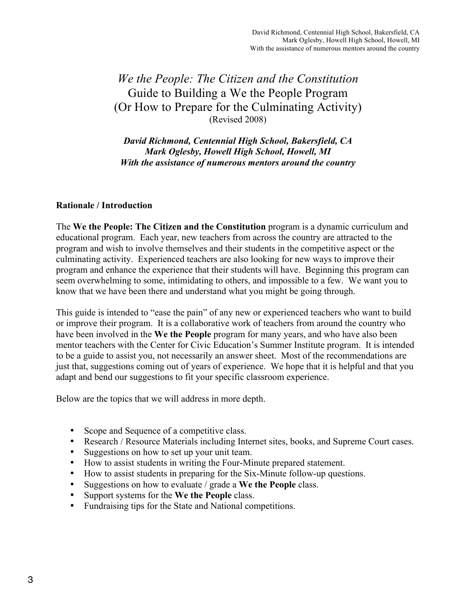# *We the People: The Citizen and the Constitution* Guide to Building a We the People Program (Or How to Prepare for the Culminating Activity) (Revised 2008)

*David Richmond, Centennial High School, Bakersfield, CA Mark Oglesby, Howell High School, Howell, MI With the assistance of numerous mentors around the country*

#### **Rationale / Introduction**

The **We the People: The Citizen and the Constitution** program is a dynamic curriculum and educational program. Each year, new teachers from across the country are attracted to the program and wish to involve themselves and their students in the competitive aspect or the culminating activity. Experienced teachers are also looking for new ways to improve their program and enhance the experience that their students will have. Beginning this program can seem overwhelming to some, intimidating to others, and impossible to a few. We want you to know that we have been there and understand what you might be going through.

This guide is intended to "ease the pain" of any new or experienced teachers who want to build or improve their program. It is a collaborative work of teachers from around the country who have been involved in the **We the People** program for many years, and who have also been mentor teachers with the Center for Civic Education's Summer Institute program. It is intended to be a guide to assist you, not necessarily an answer sheet. Most of the recommendations are just that, suggestions coming out of years of experience. We hope that it is helpful and that you adapt and bend our suggestions to fit your specific classroom experience.

Below are the topics that we will address in more depth.

- Scope and Sequence of a competitive class.
- Research / Resource Materials including Internet sites, books, and Supreme Court cases.
- Suggestions on how to set up your unit team.
- How to assist students in writing the Four-Minute prepared statement.
- How to assist students in preparing for the Six-Minute follow-up questions.
- Suggestions on how to evaluate / grade a **We the People** class.
- Support systems for the **We the People** class.
- Fundraising tips for the State and National competitions.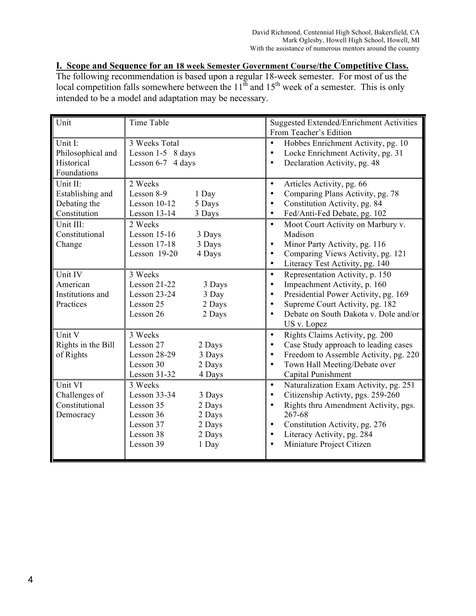**I. Scope and Sequence for an 18 week Semester Government Course/the Competitive Class.** The following recommendation is based upon a regular 18-week semester. For most of us the local competition falls somewhere between the  $11^{th}$  and  $15^{th}$  week of a semester. This is only intended to be a model and adaptation may be necessary.

| Unit               | Time Table             | <b>Suggested Extended/Enrichment Activities</b>    |
|--------------------|------------------------|----------------------------------------------------|
|                    |                        | From Teacher's Edition                             |
| Unit I:            | 3 Weeks Total          | Hobbes Enrichment Activity, pg. 10<br>$\bullet$    |
| Philosophical and  | Lesson 1-5 8 days      | Locke Enrichment Activity, pg. 31                  |
| Historical         | Lesson 6-7 4 days      | Declaration Activity, pg. 48                       |
| Foundations        |                        |                                                    |
| Unit II:           | 2 Weeks                | Articles Activity, pg. 66<br>$\bullet$             |
| Establishing and   | Lesson 8-9<br>1 Day    | Comparing Plans Activity, pg. 78                   |
| Debating the       | Lesson 10-12<br>5 Days | Constitution Activity, pg. 84                      |
| Constitution       | Lesson 13-14<br>3 Days | Fed/Anti-Fed Debate, pg. 102<br>$\bullet$          |
| Unit III:          | 2 Weeks                | Moot Court Activity on Marbury v.<br>$\bullet$     |
| Constitutional     | Lesson 15-16<br>3 Days | Madison                                            |
| Change             | Lesson 17-18<br>3 Days | Minor Party Activity, pg. 116<br>$\bullet$         |
|                    | Lesson 19-20<br>4 Days | Comparing Views Activity, pg. 121                  |
|                    |                        | Literacy Test Activity, pg. 140<br>$\bullet$       |
| Unit IV            | 3 Weeks                | Representation Activity, p. 150                    |
| American           | Lesson 21-22<br>3 Days | Impeachment Activity, p. 160                       |
| Institutions and   | Lesson 23-24<br>3 Day  | Presidential Power Activity, pg. 169               |
| Practices          | Lesson 25<br>2 Days    | Supreme Court Activity, pg. 182<br>$\bullet$       |
|                    | Lesson 26<br>2 Days    | Debate on South Dakota v. Dole and/or              |
|                    |                        | US v. Lopez                                        |
| Unit V             | 3 Weeks                | Rights Claims Activity, pg. 200<br>$\bullet$       |
| Rights in the Bill | Lesson 27<br>2 Days    | Case Study approach to leading cases               |
| of Rights          | Lesson 28-29<br>3 Days | Freedom to Assemble Activity, pg. 220              |
|                    | Lesson 30<br>2 Days    | Town Hall Meeting/Debate over                      |
|                    | Lesson 31-32<br>4 Days | Capital Punishment                                 |
| Unit VI            | 3 Weeks                | Naturalization Exam Activity, pg. 251<br>$\bullet$ |
| Challenges of      | Lesson 33-34<br>3 Days | Citizenship Activty, pgs. 259-260                  |
| Constitutional     | Lesson 35<br>2 Days    | Rights thru Amendment Activity, pgs.               |
| Democracy          | Lesson 36<br>2 Days    | 267-68                                             |
|                    | Lesson 37<br>2 Days    | Constitution Activity, pg. 276                     |
|                    | Lesson 38<br>2 Days    | Literacy Activity, pg. 284                         |
|                    | Lesson 39<br>1 Day     | Miniature Project Citizen                          |
|                    |                        |                                                    |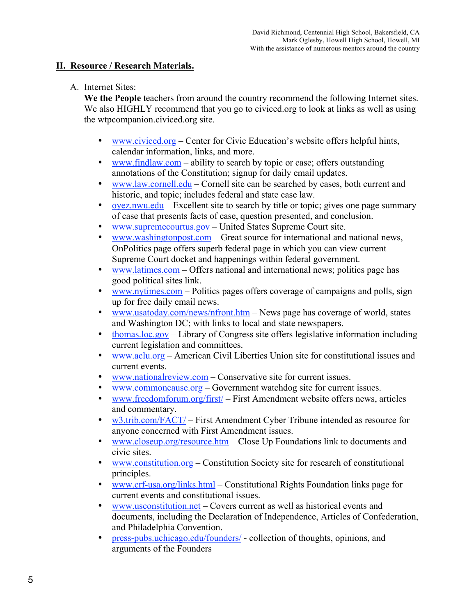### **II. Resource / Research Materials.**

### A. Internet Sites:

**We the People** teachers from around the country recommend the following Internet sites. We also HIGHLY recommend that you go to civiced.org to look at links as well as using the wtpcompanion.civiced.org site.

- www.civiced.org Center for Civic Education's website offers helpful hints, calendar information, links, and more.
- www.findlaw.com ability to search by topic or case; offers outstanding annotations of the Constitution; signup for daily email updates.
- www.law.cornell.edu Cornell site can be searched by cases, both current and historic, and topic; includes federal and state case law.
- oyez.nwu.edu Excellent site to search by title or topic; gives one page summary of case that presents facts of case, question presented, and conclusion.
- www.supremecourtus.gov United States Supreme Court site.
- $www.washingtonpost.com Great source for international and national news,$ OnPolitics page offers superb federal page in which you can view current Supreme Court docket and happenings within federal government.
- www.latimes.com Offers national and international news; politics page has good political sites link.
- www.nytimes.com Politics pages offers coverage of campaigns and polls, sign up for free daily email news.
- www.usatoday.com/news/nfront.htm News page has coverage of world, states and Washington DC; with links to local and state newspapers.
- thomas.loc.gov Library of Congress site offers legislative information including current legislation and committees.
- www.aclu.org American Civil Liberties Union site for constitutional issues and current events.
- www.nationalreview.com Conservative site for current issues.
- www.commoncause.org Government watchdog site for current issues.
- www.freedomforum.org/first/ First Amendment website offers news, articles and commentary.
- w3.trib.com/FACT/ First Amendment Cyber Tribune intended as resource for anyone concerned with First Amendment issues.
- www.closeup.org/resource.htm Close Up Foundations link to documents and civic sites.
- www.constitution.org Constitution Society site for research of constitutional principles.
- www.crf-usa.org/links.html Constitutional Rights Foundation links page for current events and constitutional issues.
- www.usconstitution.net Covers current as well as historical events and documents, including the Declaration of Independence, Articles of Confederation, and Philadelphia Convention.
- press-pubs.uchicago.edu/founders/ collection of thoughts, opinions, and arguments of the Founders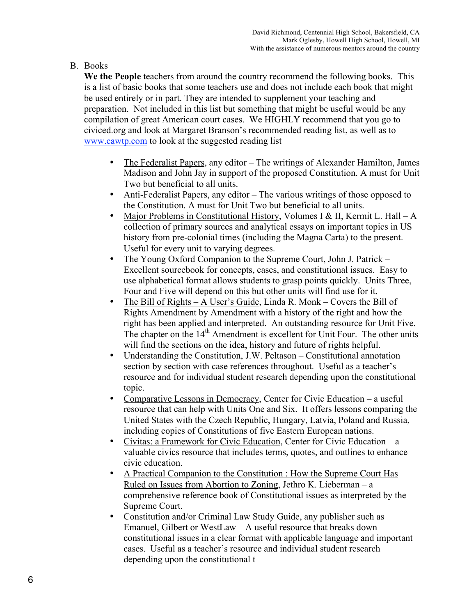## B. Books

**We the People** teachers from around the country recommend the following books. This is a list of basic books that some teachers use and does not include each book that might be used entirely or in part. They are intended to supplement your teaching and preparation. Not included in this list but something that might be useful would be any compilation of great American court cases. We HIGHLY recommend that you go to civiced.org and look at Margaret Branson's recommended reading list, as well as to www.cawtp.com to look at the suggested reading list

- The Federalist Papers, any editor The writings of Alexander Hamilton, James Madison and John Jay in support of the proposed Constitution. A must for Unit Two but beneficial to all units.
- Anti-Federalist Papers, any editor The various writings of those opposed to the Constitution. A must for Unit Two but beneficial to all units.
- Major Problems in Constitutional History, Volumes I & II, Kermit L. Hall A collection of primary sources and analytical essays on important topics in US history from pre-colonial times (including the Magna Carta) to the present. Useful for every unit to varying degrees.
- The Young Oxford Companion to the Supreme Court, John J. Patrick Excellent sourcebook for concepts, cases, and constitutional issues. Easy to use alphabetical format allows students to grasp points quickly. Units Three, Four and Five will depend on this but other units will find use for it.
- The Bill of Rights A User's Guide, Linda R. Monk Covers the Bill of Rights Amendment by Amendment with a history of the right and how the right has been applied and interpreted. An outstanding resource for Unit Five. The chapter on the 14<sup>th</sup> Amendment is excellent for Unit Four. The other units will find the sections on the idea, history and future of rights helpful.
- Understanding the Constitution, J.W. Peltason Constitutional annotation section by section with case references throughout. Useful as a teacher's resource and for individual student research depending upon the constitutional topic.
- Comparative Lessons in Democracy, Center for Civic Education a useful resource that can help with Units One and Six. It offers lessons comparing the United States with the Czech Republic, Hungary, Latvia, Poland and Russia, including copies of Constitutions of five Eastern European nations.
- Civitas: a Framework for Civic Education, Center for Civic Education a valuable civics resource that includes terms, quotes, and outlines to enhance civic education.
- A Practical Companion to the Constitution : How the Supreme Court Has Ruled on Issues from Abortion to Zoning, Jethro K. Lieberman – a comprehensive reference book of Constitutional issues as interpreted by the Supreme Court.
- Constitution and/or Criminal Law Study Guide, any publisher such as Emanuel, Gilbert or WestLaw – A useful resource that breaks down constitutional issues in a clear format with applicable language and important cases. Useful as a teacher's resource and individual student research depending upon the constitutional t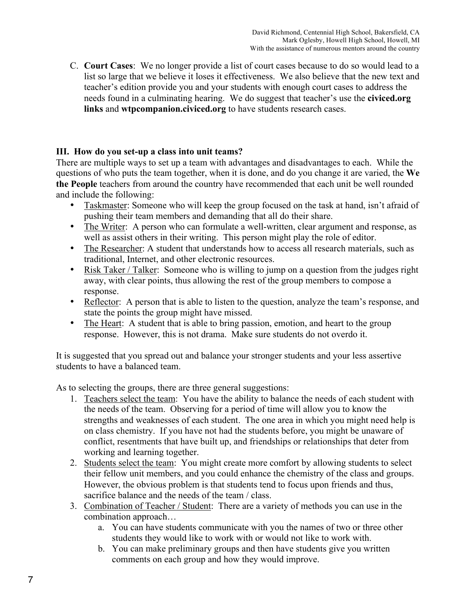C. **Court Cases**: We no longer provide a list of court cases because to do so would lead to a list so large that we believe it loses it effectiveness. We also believe that the new text and teacher's edition provide you and your students with enough court cases to address the needs found in a culminating hearing. We do suggest that teacher's use the **civiced.org links** and **wtpcompanion.civiced.org** to have students research cases.

### **III. How do you set-up a class into unit teams?**

There are multiple ways to set up a team with advantages and disadvantages to each. While the questions of who puts the team together, when it is done, and do you change it are varied, the **We the People** teachers from around the country have recommended that each unit be well rounded and include the following:

- Taskmaster: Someone who will keep the group focused on the task at hand, isn't afraid of pushing their team members and demanding that all do their share.
- The Writer: A person who can formulate a well-written, clear argument and response, as well as assist others in their writing. This person might play the role of editor.
- The Researcher: A student that understands how to access all research materials, such as traditional, Internet, and other electronic resources.
- Risk Taker / Talker: Someone who is willing to jump on a question from the judges right away, with clear points, thus allowing the rest of the group members to compose a response.
- Reflector: A person that is able to listen to the question, analyze the team's response, and state the points the group might have missed.
- The Heart: A student that is able to bring passion, emotion, and heart to the group response. However, this is not drama. Make sure students do not overdo it.

It is suggested that you spread out and balance your stronger students and your less assertive students to have a balanced team.

As to selecting the groups, there are three general suggestions:

- 1. Teachers select the team: You have the ability to balance the needs of each student with the needs of the team. Observing for a period of time will allow you to know the strengths and weaknesses of each student. The one area in which you might need help is on class chemistry. If you have not had the students before, you might be unaware of conflict, resentments that have built up, and friendships or relationships that deter from working and learning together.
- 2. Students select the team: You might create more comfort by allowing students to select their fellow unit members, and you could enhance the chemistry of the class and groups. However, the obvious problem is that students tend to focus upon friends and thus, sacrifice balance and the needs of the team / class.
- 3. Combination of Teacher / Student: There are a variety of methods you can use in the combination approach…
	- a. You can have students communicate with you the names of two or three other students they would like to work with or would not like to work with.
	- b. You can make preliminary groups and then have students give you written comments on each group and how they would improve.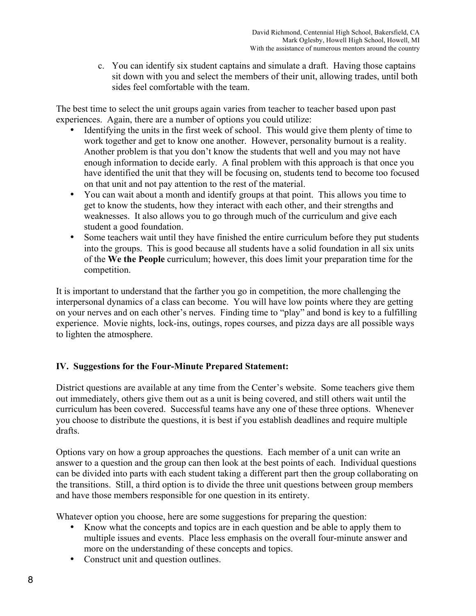c. You can identify six student captains and simulate a draft. Having those captains sit down with you and select the members of their unit, allowing trades, until both sides feel comfortable with the team.

The best time to select the unit groups again varies from teacher to teacher based upon past experiences. Again, there are a number of options you could utilize:

- Identifying the units in the first week of school. This would give them plenty of time to work together and get to know one another. However, personality burnout is a reality. Another problem is that you don't know the students that well and you may not have enough information to decide early. A final problem with this approach is that once you have identified the unit that they will be focusing on, students tend to become too focused on that unit and not pay attention to the rest of the material.
- You can wait about a month and identify groups at that point. This allows you time to get to know the students, how they interact with each other, and their strengths and weaknesses. It also allows you to go through much of the curriculum and give each student a good foundation.
- Some teachers wait until they have finished the entire curriculum before they put students into the groups. This is good because all students have a solid foundation in all six units of the **We the People** curriculum; however, this does limit your preparation time for the competition.

It is important to understand that the farther you go in competition, the more challenging the interpersonal dynamics of a class can become. You will have low points where they are getting on your nerves and on each other's nerves. Finding time to "play" and bond is key to a fulfilling experience. Movie nights, lock-ins, outings, ropes courses, and pizza days are all possible ways to lighten the atmosphere.

# **IV. Suggestions for the Four-Minute Prepared Statement:**

District questions are available at any time from the Center's website. Some teachers give them out immediately, others give them out as a unit is being covered, and still others wait until the curriculum has been covered. Successful teams have any one of these three options. Whenever you choose to distribute the questions, it is best if you establish deadlines and require multiple drafts.

Options vary on how a group approaches the questions. Each member of a unit can write an answer to a question and the group can then look at the best points of each. Individual questions can be divided into parts with each student taking a different part then the group collaborating on the transitions. Still, a third option is to divide the three unit questions between group members and have those members responsible for one question in its entirety.

Whatever option you choose, here are some suggestions for preparing the question:

- Know what the concepts and topics are in each question and be able to apply them to multiple issues and events. Place less emphasis on the overall four-minute answer and more on the understanding of these concepts and topics.
- Construct unit and question outlines.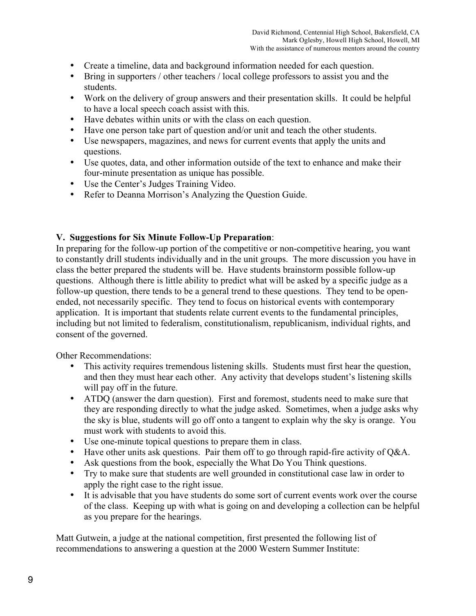- Create a timeline, data and background information needed for each question.
- Bring in supporters / other teachers / local college professors to assist you and the students.
- Work on the delivery of group answers and their presentation skills. It could be helpful to have a local speech coach assist with this.
- Have debates within units or with the class on each question.
- Have one person take part of question and/or unit and teach the other students.
- Use newspapers, magazines, and news for current events that apply the units and questions.
- Use quotes, data, and other information outside of the text to enhance and make their four-minute presentation as unique has possible.
- Use the Center's Judges Training Video.
- Refer to Deanna Morrison's Analyzing the Question Guide.

### **V. Suggestions for Six Minute Follow-Up Preparation**:

In preparing for the follow-up portion of the competitive or non-competitive hearing, you want to constantly drill students individually and in the unit groups. The more discussion you have in class the better prepared the students will be. Have students brainstorm possible follow-up questions. Although there is little ability to predict what will be asked by a specific judge as a follow-up question, there tends to be a general trend to these questions. They tend to be openended, not necessarily specific. They tend to focus on historical events with contemporary application. It is important that students relate current events to the fundamental principles, including but not limited to federalism, constitutionalism, republicanism, individual rights, and consent of the governed.

Other Recommendations:

- This activity requires tremendous listening skills. Students must first hear the question, and then they must hear each other. Any activity that develops student's listening skills will pay off in the future.
- ATDQ (answer the darn question). First and foremost, students need to make sure that they are responding directly to what the judge asked. Sometimes, when a judge asks why the sky is blue, students will go off onto a tangent to explain why the sky is orange. You must work with students to avoid this.
- Use one-minute topical questions to prepare them in class.
- Have other units ask questions. Pair them off to go through rapid-fire activity of Q&A.
- Ask questions from the book, especially the What Do You Think questions.
- Try to make sure that students are well grounded in constitutional case law in order to apply the right case to the right issue.
- It is advisable that you have students do some sort of current events work over the course of the class. Keeping up with what is going on and developing a collection can be helpful as you prepare for the hearings.

Matt Gutwein, a judge at the national competition, first presented the following list of recommendations to answering a question at the 2000 Western Summer Institute: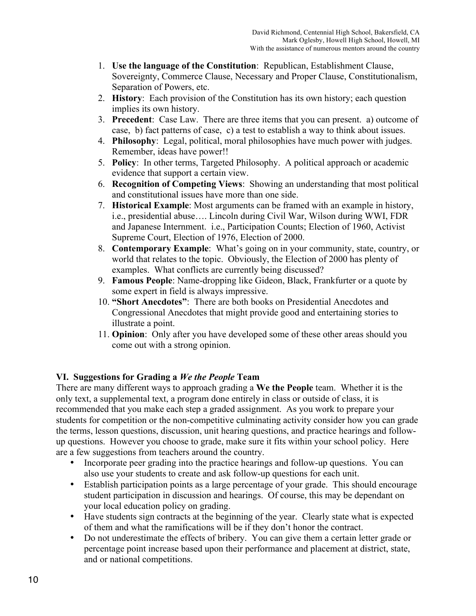- 1. **Use the language of the Constitution**: Republican, Establishment Clause, Sovereignty, Commerce Clause, Necessary and Proper Clause, Constitutionalism, Separation of Powers, etc.
- 2. **History**: Each provision of the Constitution has its own history; each question implies its own history.
- 3. **Precedent**: Case Law. There are three items that you can present. a) outcome of case, b) fact patterns of case, c) a test to establish a way to think about issues.
- 4. **Philosophy**: Legal, political, moral philosophies have much power with judges. Remember, ideas have power!!
- 5. **Policy**: In other terms, Targeted Philosophy. A political approach or academic evidence that support a certain view.
- 6. **Recognition of Competing Views**: Showing an understanding that most political and constitutional issues have more than one side.
- 7. **Historical Example**: Most arguments can be framed with an example in history, i.e., presidential abuse…. Lincoln during Civil War, Wilson during WWI, FDR and Japanese Internment. i.e., Participation Counts; Election of 1960, Activist Supreme Court, Election of 1976, Election of 2000.
- 8. **Contemporary Example**: What's going on in your community, state, country, or world that relates to the topic. Obviously, the Election of 2000 has plenty of examples. What conflicts are currently being discussed?
- 9. **Famous People**: Name-dropping like Gideon, Black, Frankfurter or a quote by some expert in field is always impressive.
- 10. **"Short Anecdotes"**: There are both books on Presidential Anecdotes and Congressional Anecdotes that might provide good and entertaining stories to illustrate a point.
- 11. **Opinion**: Only after you have developed some of these other areas should you come out with a strong opinion.

### **VI. Suggestions for Grading a** *We the People* **Team**

There are many different ways to approach grading a **We the People** team. Whether it is the only text, a supplemental text, a program done entirely in class or outside of class, it is recommended that you make each step a graded assignment. As you work to prepare your students for competition or the non-competitive culminating activity consider how you can grade the terms, lesson questions, discussion, unit hearing questions, and practice hearings and followup questions. However you choose to grade, make sure it fits within your school policy. Here are a few suggestions from teachers around the country.

- Incorporate peer grading into the practice hearings and follow-up questions. You can also use your students to create and ask follow-up questions for each unit.
- Establish participation points as a large percentage of your grade. This should encourage student participation in discussion and hearings. Of course, this may be dependant on your local education policy on grading.
- Have students sign contracts at the beginning of the year. Clearly state what is expected of them and what the ramifications will be if they don't honor the contract.
- Do not underestimate the effects of bribery. You can give them a certain letter grade or percentage point increase based upon their performance and placement at district, state, and or national competitions.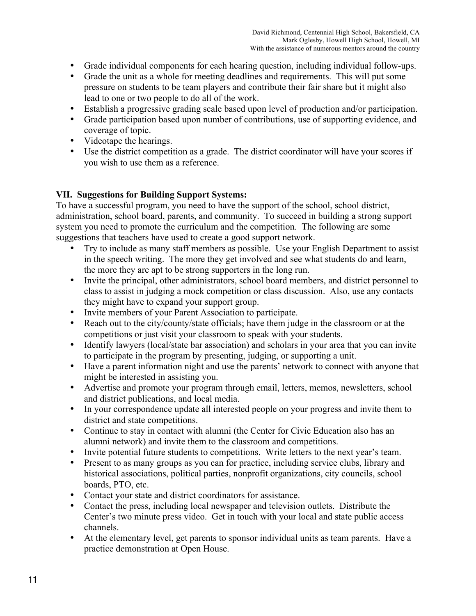- Grade individual components for each hearing question, including individual follow-ups.
- Grade the unit as a whole for meeting deadlines and requirements. This will put some pressure on students to be team players and contribute their fair share but it might also lead to one or two people to do all of the work.
- Establish a progressive grading scale based upon level of production and/or participation.
- Grade participation based upon number of contributions, use of supporting evidence, and coverage of topic.
- Videotape the hearings.
- Use the district competition as a grade. The district coordinator will have your scores if you wish to use them as a reference.

### **VII. Suggestions for Building Support Systems:**

To have a successful program, you need to have the support of the school, school district, administration, school board, parents, and community. To succeed in building a strong support system you need to promote the curriculum and the competition. The following are some suggestions that teachers have used to create a good support network.

- Try to include as many staff members as possible. Use your English Department to assist in the speech writing. The more they get involved and see what students do and learn, the more they are apt to be strong supporters in the long run.
- Invite the principal, other administrators, school board members, and district personnel to class to assist in judging a mock competition or class discussion. Also, use any contacts they might have to expand your support group.
- Invite members of your Parent Association to participate.
- Reach out to the city/county/state officials; have them judge in the classroom or at the competitions or just visit your classroom to speak with your students.
- Identify lawyers (local/state bar association) and scholars in your area that you can invite to participate in the program by presenting, judging, or supporting a unit.
- Have a parent information night and use the parents' network to connect with anyone that might be interested in assisting you.
- Advertise and promote your program through email, letters, memos, newsletters, school and district publications, and local media.
- In your correspondence update all interested people on your progress and invite them to district and state competitions.
- Continue to stay in contact with alumni (the Center for Civic Education also has an alumni network) and invite them to the classroom and competitions.
- Invite potential future students to competitions. Write letters to the next year's team.
- Present to as many groups as you can for practice, including service clubs, library and historical associations, political parties, nonprofit organizations, city councils, school boards, PTO, etc.
- Contact your state and district coordinators for assistance.
- Contact the press, including local newspaper and television outlets. Distribute the Center's two minute press video. Get in touch with your local and state public access channels.
- At the elementary level, get parents to sponsor individual units as team parents. Have a practice demonstration at Open House.